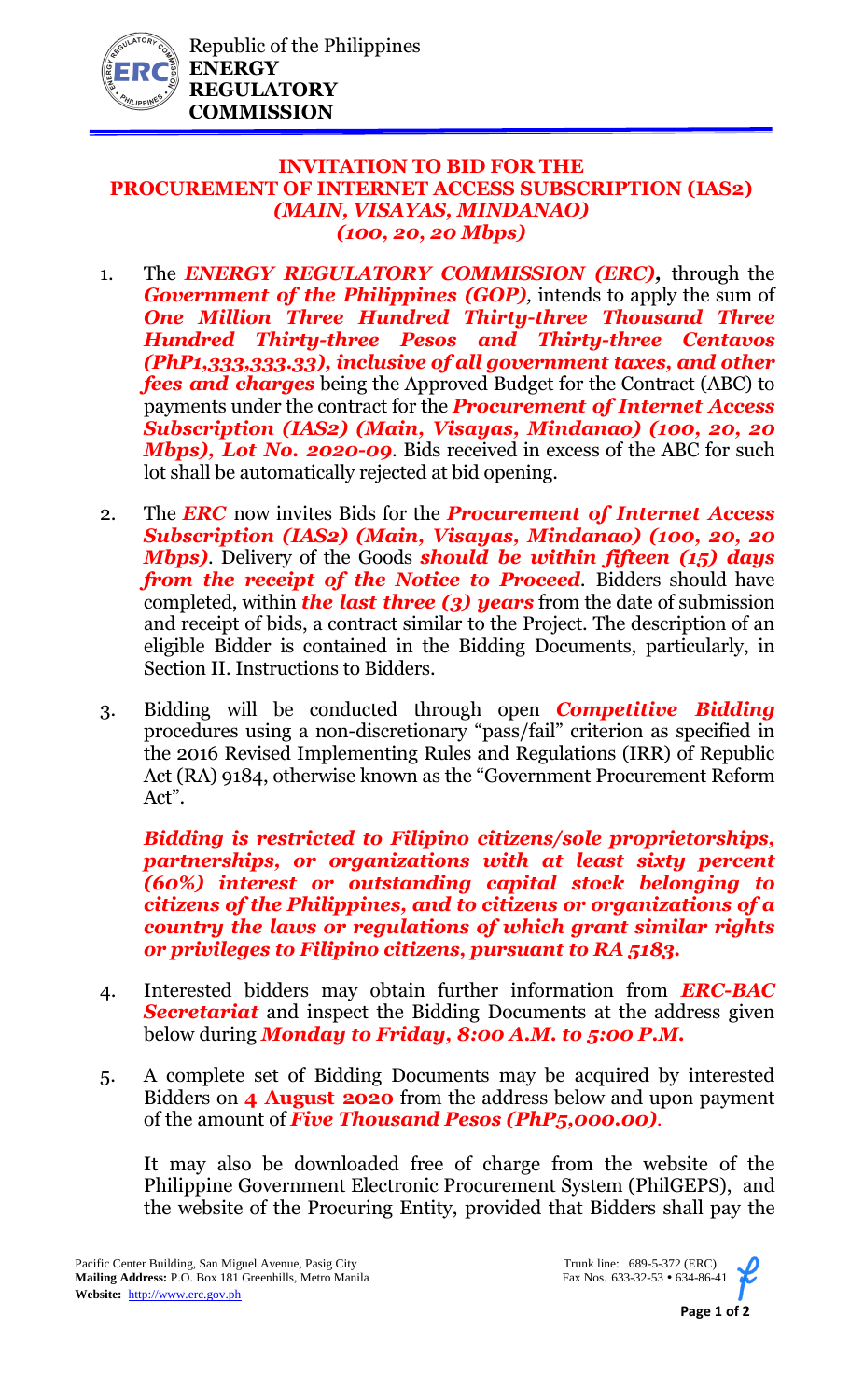

## **INVITATION TO BID FOR THE PROCUREMENT OF INTERNET ACCESS SUBSCRIPTION (IAS2)** *(MAIN, VISAYAS, MINDANAO) (100, 20, 20 Mbps)*

- 1. The *ENERGY REGULATORY COMMISSION (ERC),* through the *Government of the Philippines (GOP)*, intends to apply the sum of *One Million Three Hundred Thirty-three Thousand Three Hundred Thirty-three Pesos and Thirty-three Centavos (PhP1,333,333.33), inclusive of all government taxes, and other fees and charges* being the Approved Budget for the Contract (ABC) to payments under the contract for the *Procurement of Internet Access Subscription (IAS2) (Main, Visayas, Mindanao) (100, 20, 20 Mbps), Lot No. 2020-09*. Bids received in excess of the ABC for such lot shall be automatically rejected at bid opening.
- 2. The *ERC* now invites Bids for the *Procurement of Internet Access Subscription (IAS2) (Main, Visayas, Mindanao) (100, 20, 20 Mbps)*. Delivery of the Goods *should be within fifteen (15) days from the receipt of the Notice to Proceed.* Bidders should have completed, within *the last three (3) years* from the date of submission and receipt of bids, a contract similar to the Project. The description of an eligible Bidder is contained in the Bidding Documents, particularly, in Section II. Instructions to Bidders.
- 3. Bidding will be conducted through open *Competitive Bidding* procedures using a non-discretionary "pass/fail" criterion as specified in the 2016 Revised Implementing Rules and Regulations (IRR) of Republic Act (RA) 9184, otherwise known as the "Government Procurement Reform Act".

*Bidding is restricted to Filipino citizens/sole proprietorships, partnerships, or organizations with at least sixty percent (60%) interest or outstanding capital stock belonging to citizens of the Philippines, and to citizens or organizations of a country the laws or regulations of which grant similar rights or privileges to Filipino citizens, pursuant to RA 5183.* 

- 4. Interested bidders may obtain further information from *ERC-BAC Secretariat* and inspect the Bidding Documents at the address given below during *Monday to Friday, 8:00 A.M. to 5:00 P.M.*
- 5. A complete set of Bidding Documents may be acquired by interested Bidders on **4 August 2020** from the address below and upon payment of the amount of *Five Thousand Pesos (PhP5,000.00).*

It may also be downloaded free of charge from the website of the Philippine Government Electronic Procurement System (PhilGEPS), and the website of the Procuring Entity, provided that Bidders shall pay the